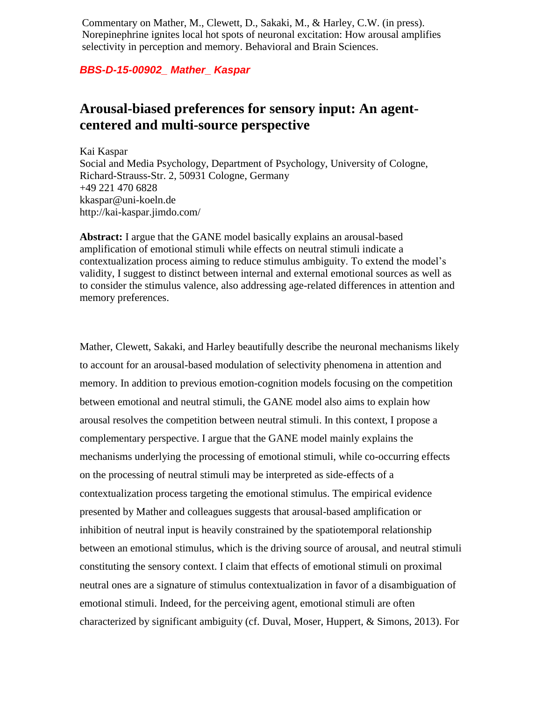Commentary on Mather, M., Clewett, D., Sakaki, M., & Harley, C.W. (in press). Norepinephrine ignites local hot spots of neuronal excitation: How arousal amplifies selectivity in perception and memory. Behavioral and Brain Sciences.

## *BBS-D-15-00902\_ Mather\_ Kaspar*

## **Arousal-biased preferences for sensory input: An agentcentered and multi-source perspective**

Kai Kaspar Social and Media Psychology, Department of Psychology, University of Cologne, Richard-Strauss-Str. 2, 50931 Cologne, Germany +49 221 470 6828 kkaspar@uni-koeln.de http://kai-kaspar.jimdo.com/

**Abstract:** I argue that the GANE model basically explains an arousal-based amplification of emotional stimuli while effects on neutral stimuli indicate a contextualization process aiming to reduce stimulus ambiguity. To extend the model's validity, I suggest to distinct between internal and external emotional sources as well as to consider the stimulus valence, also addressing age-related differences in attention and memory preferences.

Mather, Clewett, Sakaki, and Harley beautifully describe the neuronal mechanisms likely to account for an arousal-based modulation of selectivity phenomena in attention and memory. In addition to previous emotion-cognition models focusing on the competition between emotional and neutral stimuli, the GANE model also aims to explain how arousal resolves the competition between neutral stimuli. In this context, I propose a complementary perspective. I argue that the GANE model mainly explains the mechanisms underlying the processing of emotional stimuli, while co-occurring effects on the processing of neutral stimuli may be interpreted as side-effects of a contextualization process targeting the emotional stimulus. The empirical evidence presented by Mather and colleagues suggests that arousal-based amplification or inhibition of neutral input is heavily constrained by the spatiotemporal relationship between an emotional stimulus, which is the driving source of arousal, and neutral stimuli constituting the sensory context. I claim that effects of emotional stimuli on proximal neutral ones are a signature of stimulus contextualization in favor of a disambiguation of emotional stimuli. Indeed, for the perceiving agent, emotional stimuli are often characterized by significant ambiguity (cf. Duval, Moser, Huppert, & Simons, 2013). For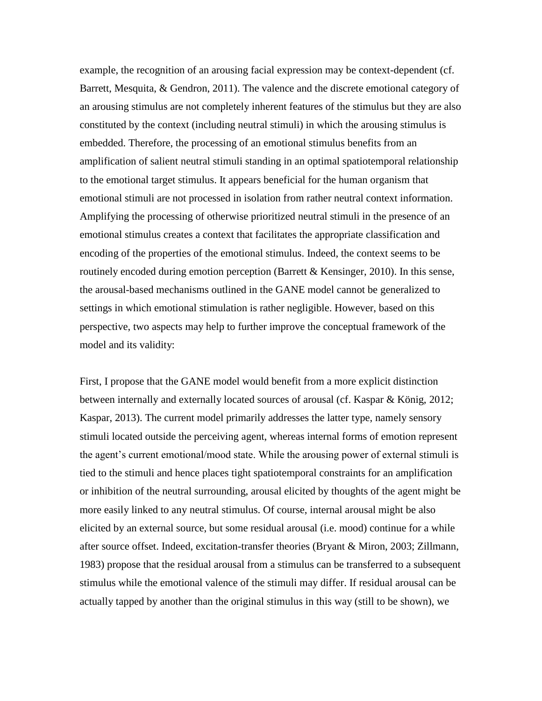example, the recognition of an arousing facial expression may be context-dependent (cf. Barrett, Mesquita, & Gendron, 2011). The valence and the discrete emotional category of an arousing stimulus are not completely inherent features of the stimulus but they are also constituted by the context (including neutral stimuli) in which the arousing stimulus is embedded. Therefore, the processing of an emotional stimulus benefits from an amplification of salient neutral stimuli standing in an optimal spatiotemporal relationship to the emotional target stimulus. It appears beneficial for the human organism that emotional stimuli are not processed in isolation from rather neutral context information. Amplifying the processing of otherwise prioritized neutral stimuli in the presence of an emotional stimulus creates a context that facilitates the appropriate classification and encoding of the properties of the emotional stimulus. Indeed, the context seems to be routinely encoded during emotion perception (Barrett & Kensinger, 2010). In this sense, the arousal-based mechanisms outlined in the GANE model cannot be generalized to settings in which emotional stimulation is rather negligible. However, based on this perspective, two aspects may help to further improve the conceptual framework of the model and its validity:

First, I propose that the GANE model would benefit from a more explicit distinction between internally and externally located sources of arousal (cf. Kaspar & König, 2012; Kaspar, 2013). The current model primarily addresses the latter type, namely sensory stimuli located outside the perceiving agent, whereas internal forms of emotion represent the agent's current emotional/mood state. While the arousing power of external stimuli is tied to the stimuli and hence places tight spatiotemporal constraints for an amplification or inhibition of the neutral surrounding, arousal elicited by thoughts of the agent might be more easily linked to any neutral stimulus. Of course, internal arousal might be also elicited by an external source, but some residual arousal (i.e. mood) continue for a while after source offset. Indeed, excitation-transfer theories (Bryant & Miron, 2003; Zillmann, 1983) propose that the residual arousal from a stimulus can be transferred to a subsequent stimulus while the emotional valence of the stimuli may differ. If residual arousal can be actually tapped by another than the original stimulus in this way (still to be shown), we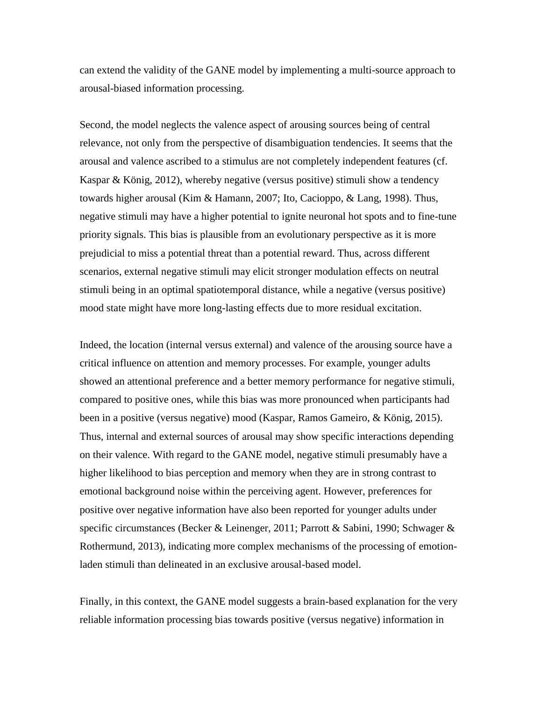can extend the validity of the GANE model by implementing a multi-source approach to arousal-biased information processing.

Second, the model neglects the valence aspect of arousing sources being of central relevance, not only from the perspective of disambiguation tendencies. It seems that the arousal and valence ascribed to a stimulus are not completely independent features (cf. Kaspar & König, 2012), whereby negative (versus positive) stimuli show a tendency towards higher arousal (Kim & Hamann, 2007; Ito, Cacioppo, & Lang, 1998). Thus, negative stimuli may have a higher potential to ignite neuronal hot spots and to fine-tune priority signals. This bias is plausible from an evolutionary perspective as it is more prejudicial to miss a potential threat than a potential reward. Thus, across different scenarios, external negative stimuli may elicit stronger modulation effects on neutral stimuli being in an optimal spatiotemporal distance, while a negative (versus positive) mood state might have more long-lasting effects due to more residual excitation.

Indeed, the location (internal versus external) and valence of the arousing source have a critical influence on attention and memory processes. For example, younger adults showed an attentional preference and a better memory performance for negative stimuli, compared to positive ones, while this bias was more pronounced when participants had been in a positive (versus negative) mood (Kaspar, Ramos Gameiro, & König, 2015). Thus, internal and external sources of arousal may show specific interactions depending on their valence. With regard to the GANE model, negative stimuli presumably have a higher likelihood to bias perception and memory when they are in strong contrast to emotional background noise within the perceiving agent. However, preferences for positive over negative information have also been reported for younger adults under specific circumstances (Becker & Leinenger, 2011; Parrott & Sabini, 1990; Schwager & Rothermund, 2013), indicating more complex mechanisms of the processing of emotionladen stimuli than delineated in an exclusive arousal-based model.

Finally, in this context, the GANE model suggests a brain-based explanation for the very reliable information processing bias towards positive (versus negative) information in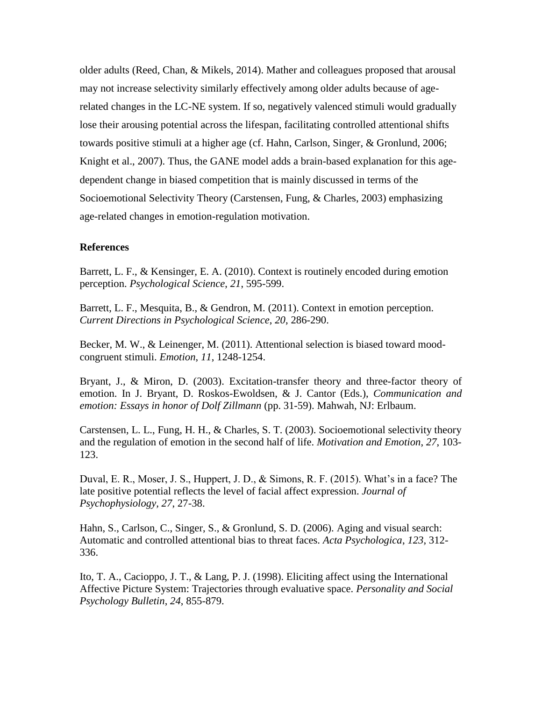older adults (Reed, Chan, & Mikels, 2014). Mather and colleagues proposed that arousal may not increase selectivity similarly effectively among older adults because of agerelated changes in the LC-NE system. If so, negatively valenced stimuli would gradually lose their arousing potential across the lifespan, facilitating controlled attentional shifts towards positive stimuli at a higher age (cf. Hahn, Carlson, Singer, & Gronlund, 2006; Knight et al., 2007). Thus, the GANE model adds a brain-based explanation for this agedependent change in biased competition that is mainly discussed in terms of the Socioemotional Selectivity Theory (Carstensen, Fung, & Charles, 2003) emphasizing age-related changes in emotion-regulation motivation.

## **References**

Barrett, L. F., & Kensinger, E. A. (2010). Context is routinely encoded during emotion perception. *Psychological Science*, *21*, 595-599.

Barrett, L. F., Mesquita, B., & Gendron, M. (2011). Context in emotion perception. *Current Directions in Psychological Science*, *20*, 286-290.

Becker, M. W., & Leinenger, M. (2011). Attentional selection is biased toward moodcongruent stimuli. *Emotion*, *11*, 1248-1254.

Bryant, J., & Miron, D. (2003). Excitation-transfer theory and three-factor theory of emotion. In J. Bryant, D. Roskos-Ewoldsen, & J. Cantor (Eds.), *Communication and emotion: Essays in honor of Dolf Zillmann* (pp. 31-59). Mahwah, NJ: Erlbaum.

Carstensen, L. L., Fung, H. H., & Charles, S. T. (2003). Socioemotional selectivity theory and the regulation of emotion in the second half of life. *Motivation and Emotion*, *27*, 103- 123.

Duval, E. R., Moser, J. S., Huppert, J. D., & Simons, R. F. (2015). What's in a face? The late positive potential reflects the level of facial affect expression. *Journal of Psychophysiology, 27*, 27-38.

Hahn, S., Carlson, C., Singer, S., & Gronlund, S. D. (2006). Aging and visual search: Automatic and controlled attentional bias to threat faces. *Acta Psychologica*, *123*, 312- 336.

Ito, T. A., Cacioppo, J. T., & Lang, P. J. (1998). Eliciting affect using the International Affective Picture System: Trajectories through evaluative space. *Personality and Social Psychology Bulletin*, *24*, 855-879.